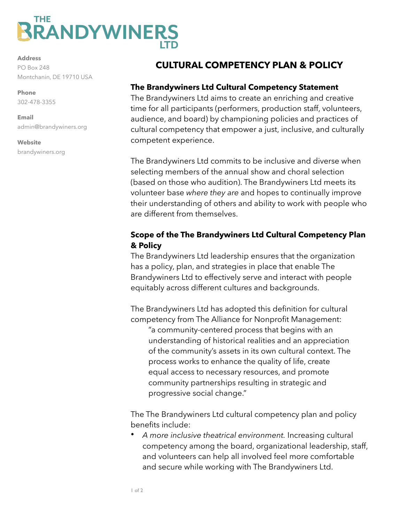# THE **RRANDYWINERS**

**Address** PO Box 248 Montchanin, DE 19710 USA

**Phone**  302-478-3355

**Email**  admin@brandywiners.org

#### **Website** brandywiners.org

## **CULTURAL COMPETENCY PLAN & POLICY**

#### **The Brandywiners Ltd Cultural Competency Statement**

The Brandywiners Ltd aims to create an enriching and creative time for all participants (performers, production staff, volunteers, audience, and board) by championing policies and practices of cultural competency that empower a just, inclusive, and culturally competent experience.

The Brandywiners Ltd commits to be inclusive and diverse when selecting members of the annual show and choral selection (based on those who audition). The Brandywiners Ltd meets its volunteer base *where they are* and hopes to continually improve their understanding of others and ability to work with people who are different from themselves.

#### **Scope of the The Brandywiners Ltd Cultural Competency Plan & Policy**

The Brandywiners Ltd leadership ensures that the organization has a policy, plan, and strategies in place that enable The Brandywiners Ltd to effectively serve and interact with people equitably across different cultures and backgrounds.

The Brandywiners Ltd has adopted this definition for cultural competency from The Alliance for Nonprofit Management:

"a community-centered process that begins with an understanding of historical realities and an appreciation of the community's assets in its own cultural context. The process works to enhance the quality of life, create equal access to necessary resources, and promote community partnerships resulting in strategic and progressive social change."

The The Brandywiners Ltd cultural competency plan and policy benefits include:

• *A more inclusive theatrical environment.* Increasing cultural competency among the board, organizational leadership, staff, and volunteers can help all involved feel more comfortable and secure while working with The Brandywiners Ltd.